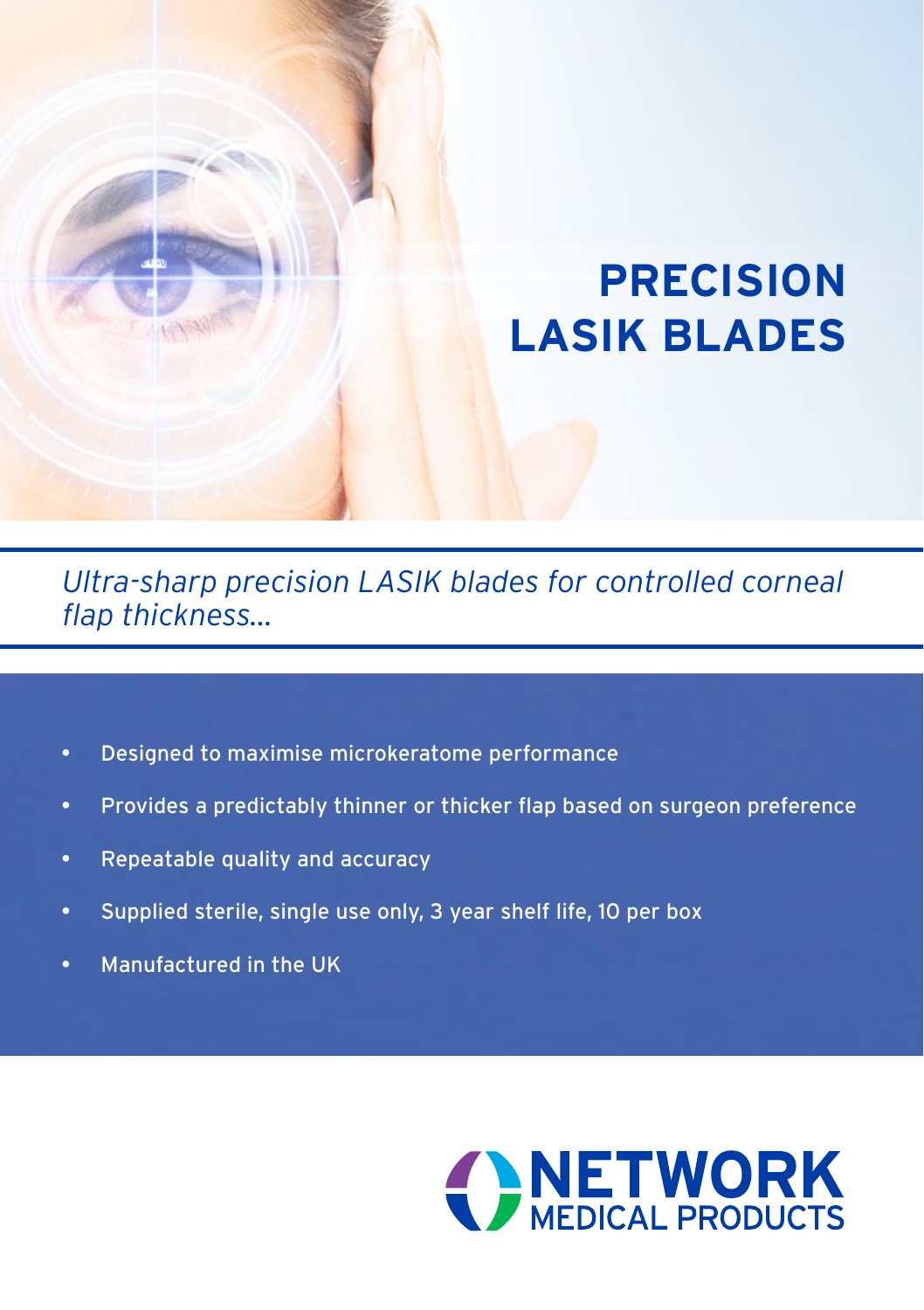# **PRECISION LASIK BLADES**

*Ultra-sharp precision LASIK blades for controlled corneal flap thickness...*

- • Designed to maximise microkeratome performance
- • Provides a predictably thinner or thicker flap based on surgeon preference
- • Repeatable quality and accuracy
- Supplied sterile, single use only, 3 year shelf life, 10 per box
- Manufactured in the UK